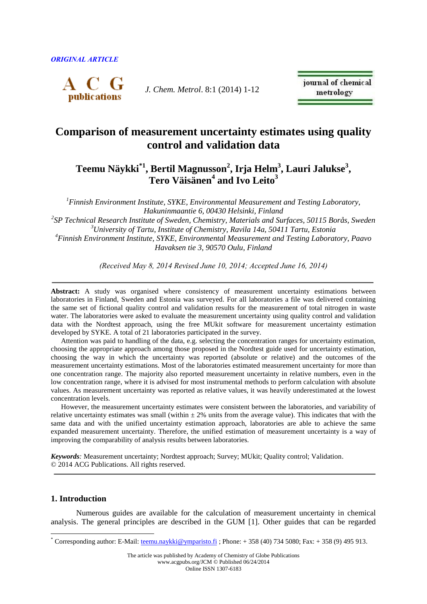

*J. Chem. Metrol*. 8:1 (2014) 1-12

journal of chemical metrology

# **Comparison of measurement uncertainty estimates using quality control and validation data**

## **Teemu Näykki\*1 , Bertil Magnusson<sup>2</sup> , Irja Helm<sup>3</sup> , Lauri Jalukse<sup>3</sup> , Tero Väisänen<sup>4</sup> and Ivo Leito<sup>3</sup>**

*Finnish Environment Institute, SYKE, Environmental Measurement and Testing Laboratory, Hakuninmaantie 6, 00430 Helsinki, Finland SP Technical Research Institute of Sweden, Chemistry, Materials and Surfaces, 50115 Borås, Sweden University of Tartu, Institute of Chemistry, Ravila 14a, 50411 Tartu, Estonia Finnish Environment Institute, SYKE, Environmental Measurement and Testing Laboratory, Paavo Havaksen tie 3, 90570 Oulu, Finland*

*(Received May 8, 2014 Revised June 10, 2014; Accepted June 16, 2014)*

Abstract: A study was organised where consistency of measurement uncertainty estimations between laboratories in Finland, Sweden and Estonia was surveyed. For all laboratories a file was delivered containing the same set of fictional quality control and validation results for the measurement of total nitrogen in waste water. The laboratories were asked to evaluate the measurement uncertainty using quality control and validation data with the Nordtest approach, using the free MUkit software for measurement uncertainty estimation developed by SYKE. A total of 21 laboratories participated in the survey.

Attention was paid to handling of the data, e.g. selecting the concentration ranges for uncertainty estimation, choosing the appropriate approach among those proposed in the Nordtest guide used for uncertainty estimation, choosing the way in which the uncertainty was reported (absolute or relative) and the outcomes of the measurement uncertainty estimations. Most of the laboratories estimated measurement uncertainty for more than one concentration range. The majority also reported measurement uncertainty in relative numbers, even in the low concentration range, where it is advised for most instrumental methods to perform calculation with absolute values. As measurement uncertainty was reported as relative values, it was heavily underestimated at the lowest concentration levels.

However, the measurement uncertainty estimates were consistent between the laboratories, and variability of relative uncertainty estimates was small (within  $\pm$  2% units from the average value). This indicates that with the same data and with the unified uncertainty estimation approach, laboratories are able to achieve the same expanded measurement uncertainty. Therefore, the unified estimation of measurement uncertainty is a way of improving the comparability of analysis results between laboratories.

*Keywords:* Measurement uncertainty; Nordtest approach; Survey; MUkit; Quality control; Validation. © 2014 ACG Publications. All rights reserved.

## **1. Introduction**

 $\overline{a}$ 

Numerous guides are available for the calculation of measurement uncertainty in chemical analysis. The general principles are described in the GUM [1]. Other guides that can be regarded

<sup>\*</sup> Corresponding author: E-Mail: teemu.nay kki @ ymparisto.fi ; Phone:  $+ 358 (40) 734 5080$ ; Fax:  $+ 358 (9) 495 913$ .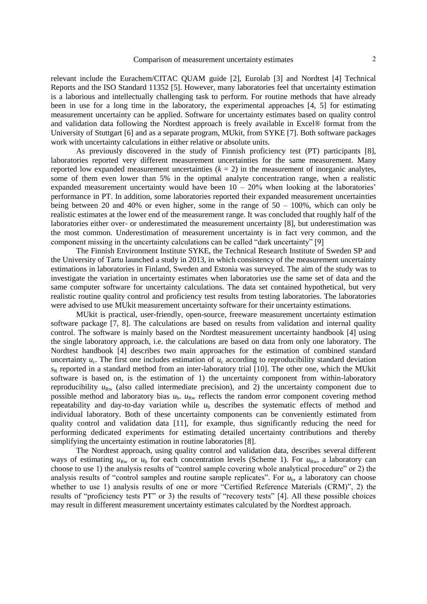relevant include the Eurachem/CITAC QUAM guide [2], Eurolab [3] and Nordtest [4] Technical Reports and the ISO Standard 11352 [5]. However, many laboratories feel that uncertainty estimation is a laborious and intellectually challenging task to perform. For routine methods that have already been in use for a long time in the laboratory, the experimental approaches [4, 5] for estimating measurement uncertainty can be applied. Software for uncertainty estimates based on quality control and validation data following the Nordtest approach is freely available in Excel® format from the University of Stuttgart [6] and as a separate program, MUkit, from SYKE [7]. Both software packages work with uncertainty calculations in either relative or absolute units.

As previously discovered in the study of Finnish proficiency test (PT) participants [8], laboratories reported very different measurement uncertainties for the same measurement. Many reported low expanded measurement uncertainties  $(k = 2)$  in the measurement of inorganic analytes, some of them even lower than 5% in the optimal analyte concentration range, when a realistic expanded measurement uncertainty would have been  $10 - 20\%$  when looking at the laboratories' performance in PT. In addition, some laboratories reported their expanded measurement uncertainties being between 20 and 40% or even higher, some in the range of  $50 - 100\%$ , which can only be realistic estimates at the lower end of the measurement range. It was concluded that roughly half of the laboratories either over- or underestimated the measurement uncertainty [8], but underestimation was the most common. Underestimation of measurement uncertainty is in fact very common, and the component missing in the uncertainty calculations can be called "dark uncertainty" [9]

The Finnish Environment Institute SYKE, the Technical Research Institute of Sweden SP and the University of Tartu launched a study in 2013, in which consistency of the measurement uncertainty estimations in laboratories in Finland, Sweden and Estonia was surveyed. The aim of the study was to investigate the variation in uncertainty estimates when laboratories use the same set of data and the same computer software for uncertainty calculations. The data set contained hypothetical, but very realistic routine quality control and proficiency test results from testing laboratories. The laboratories were advised to use MUkit measurement uncertainty software for their uncertainty estimations.

MUkit is practical, user-friendly, open-source, freeware measurement uncertainty estimation software package [7, 8]. The calculations are based on results from validation and internal quality control. The software is mainly based on the Nordtest measurement uncertainty handbook [4] using the single laboratory approach, i.e. the calculations are based on data from only one laboratory. The Nordtest handbook [4] describes two main approaches for the estimation of combined standard uncertainty  $u_c$ . The first one includes estimation of  $u_c$  according to reproducibility standard deviation *s*<sup>R</sup> reported in a standard method from an inter-laboratory trial [10]. The other one, which the MUkit software is based on, is the estimation of 1) the uncertainty component from within-laboratory reproducibility  $u_{\text{Rw}}$  (also called intermediate precision), and 2) the uncertainty component due to possible method and laboratory bias  $u_{\rm b}$ .  $u_{\rm Rw}$  reflects the random error component covering method repeatability and day-to-day variation while  $u<sub>b</sub>$  describes the systematic effects of method and individual laboratory. Both of these uncertainty components can be conveniently estimated from quality control and validation data [11], for example, thus significantly reducing the need for performing dedicated experiments for estimating detailed uncertainty contributions and thereby simplifying the uncertainty estimation in routine laboratories [8].

The Nordtest approach, using quality control and validation data, describes several different ways of estimating  $u_{\text{Rw}}$  or  $u_{\text{b}}$  for each concentration levels (Scheme 1). For  $u_{\text{Rw}}$ , a laboratory can choose to use 1) the analysis results of "control sample covering whole analytical procedure" or 2) the analysis results of "control samples and routine sample replicates". For  $u<sub>b</sub>$ , a laboratory can choose whether to use 1) analysis results of one or more "Certified Reference Materials (CRM)", 2) the results of "proficiency tests PT" or 3) the results of "recovery tests" [4]. All these possible choices may result in different measurement uncertainty estimates calculated by the Nordtest approach.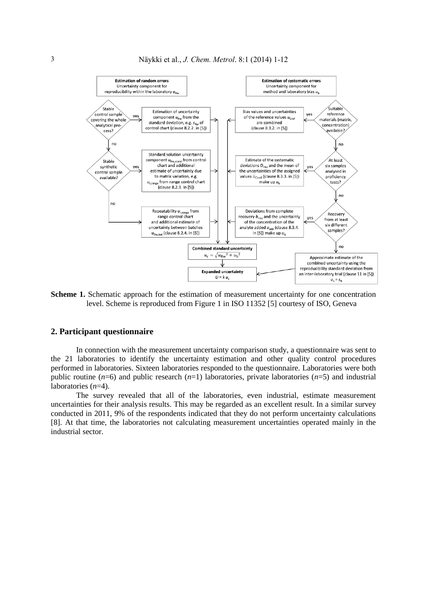

**Scheme 1.** Schematic approach for the estimation of measurement uncertainty for one concentration level. Scheme is reproduced from Figure 1 in ISO 11352 [5] courtesy of ISO, Geneva

#### **2. Participant questionnaire**

In connection with the measurement uncertainty comparison study, a questionnaire was sent to the 21 laboratories to identify the uncertainty estimation and other quality control procedures performed in laboratories. Sixteen laboratories responded to the questionnaire. Laboratories were both public routine (*n*=6) and public research (*n*=1) laboratories, private laboratories (*n*=5) and industrial laboratories (*n*=4).

The survey revealed that all of the laboratories, even industrial, estimate measurement uncertainties for their analysis results. This may be regarded as an excellent result. In a similar survey conducted in 2011, 9% of the respondents indicated that they do not perform uncertainty calculations [8]. At that time, the laboratories not calculating measurement uncertainties operated mainly in the industrial sector.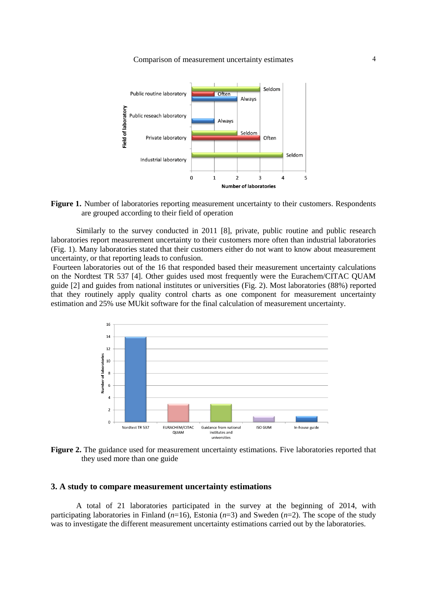Comparison of measurement uncertainty estimates 4





Similarly to the survey conducted in 2011 [8], private, public routine and public research laboratories report measurement uncertainty to their customers more often than industrial laboratories (Fig. 1). Many laboratories stated that their customers either do not want to know about measurement uncertainty, or that reporting leads to confusion.

Fourteen laboratories out of the 16 that responded based their measurement uncertainty calculations on the Nordtest TR 537 [4]. Other guides used most frequently were the Eurachem/CITAC QUAM guide [2] and guides from national institutes or universities (Fig. 2). Most laboratories (88%) reported that they routinely apply quality control charts as one component for measurement uncertainty estimation and 25% use MUkit software for the final calculation of measurement uncertainty.



**Figure 2.** The guidance used for measurement uncertainty estimations. Five laboratories reported that they used more than one guide

#### **3. A study to compare measurement uncertainty estimations**

A total of 21 laboratories participated in the survey at the beginning of 2014, with participating laboratories in Finland  $(n=16)$ , Estonia  $(n=3)$  and Sweden  $(n=2)$ . The scope of the study was to investigate the different measurement uncertainty estimations carried out by the laboratories.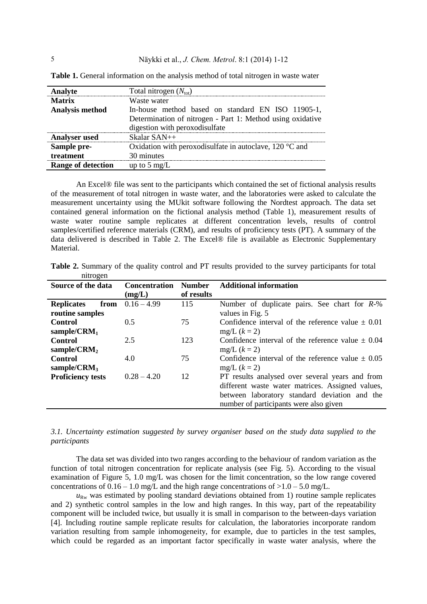| Analyte                   | Total nitrogen $(N_{\text{tot}})$                                |  |  |  |  |
|---------------------------|------------------------------------------------------------------|--|--|--|--|
| <b>Matrix</b>             | Waste water                                                      |  |  |  |  |
| <b>Analysis method</b>    | In-house method based on standard EN ISO 11905-1,                |  |  |  |  |
|                           | Determination of nitrogen - Part 1: Method using oxidative       |  |  |  |  |
|                           | digestion with peroxodisulfate                                   |  |  |  |  |
| <b>Analyser</b> used      | $Skalar SAM++$                                                   |  |  |  |  |
| Sample pre-               | Oxidation with peroxodisulfate in autoclave, $120^{\circ}$ C and |  |  |  |  |
| treatment                 | 30 minutes                                                       |  |  |  |  |
| <b>Range of detection</b> | up to 5 mg/ $L$                                                  |  |  |  |  |

**Table 1.** General information on the analysis method of total nitrogen in waste water

An Excel® file was sent to the participants which contained the set of fictional analysis results of the measurement of total nitrogen in waste water, and the laboratories were asked to calculate the measurement uncertainty using the MUkit software following the Nordtest approach. The data set contained general information on the fictional analysis method (Table 1), measurement results of waste water routine sample replicates at different concentration levels, results of control samples/certified reference materials (CRM), and results of proficiency tests (PT). A summary of the data delivered is described in Table 2. The Excel® file is available as Electronic Supplementary Material.

| Table 2. Summary of the quality control and PT results provided to the survey participants for total |  |  |  |  |  |
|------------------------------------------------------------------------------------------------------|--|--|--|--|--|
| nitrogen                                                                                             |  |  |  |  |  |

| Source of the data        | <b>Concentration</b> | <b>Number</b> | <b>Additional information</b>                         |  |  |
|---------------------------|----------------------|---------------|-------------------------------------------------------|--|--|
|                           | (mg/L)               | of results    |                                                       |  |  |
| <b>Replicates</b><br>from | $0.16 - 4.99$        | 115           | Number of duplicate pairs. See chart for $R-\%$       |  |  |
| routine samples           |                      |               | values in Fig. 5                                      |  |  |
| Control                   | 0.5                  | 75            | Confidence interval of the reference value $\pm$ 0.01 |  |  |
| sample/ $CRM_1$           |                      |               | $mg/L (k = 2)$                                        |  |  |
| Control                   | 2.5                  | 123           | Confidence interval of the reference value $\pm 0.04$ |  |  |
| sample/ $CRM2$            |                      |               | $mg/L (k = 2)$                                        |  |  |
| Control                   | 4.0                  | 75            | Confidence interval of the reference value $\pm$ 0.05 |  |  |
| sample/ $CRM_3$           |                      |               | $mg/L (k = 2)$                                        |  |  |
| <b>Proficiency tests</b>  | $0.28 - 4.20$        | 12            | PT results analysed over several years and from       |  |  |
|                           |                      |               | different waste water matrices. Assigned values,      |  |  |
|                           |                      |               | between laboratory standard deviation and the         |  |  |
|                           |                      |               | number of participants were also given                |  |  |

*3.1. Uncertainty estimation suggested by survey organiser based on the study data supplied to the participants*

The data set was divided into two ranges according to the behaviour of random variation as the function of total nitrogen concentration for replicate analysis (see Fig. 5). According to the visual examination of Figure 5, 1.0 mg/L was chosen for the limit concentration, so the low range covered concentrations of  $0.16 - 1.0$  mg/L and the high range concentrations of  $>1.0 - 5.0$  mg/L.

 $u_{\text{Rw}}$  was estimated by pooling standard deviations obtained from 1) routine sample replicates and 2) synthetic control samples in the low and high ranges. In this way, part of the repeatability component will be included twice, but usually it is small in comparison to the between-days variation [4]. Including routine sample replicate results for calculation, the laboratories incorporate random variation resulting from sample inhomogeneity, for example, due to particles in the test samples, which could be regarded as an important factor specifically in waste water analysis, where the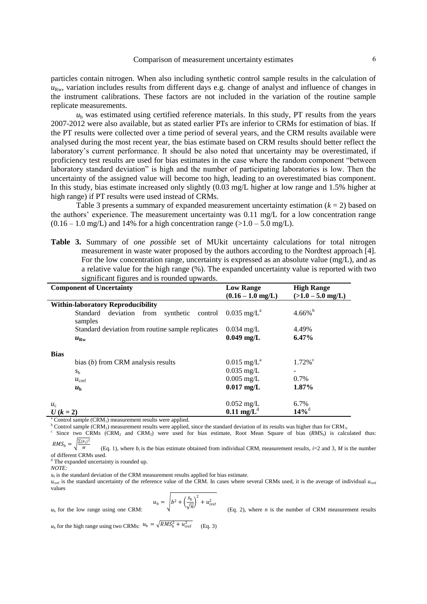particles contain nitrogen. When also including synthetic control sample results in the calculation of  $u_{\text{Rw}}$ , variation includes results from different days e.g. change of analyst and influence of changes in the instrument calibrations. These factors are not included in the variation of the routine sample replicate measurements.

 $u<sub>b</sub>$  was estimated using certified reference materials. In this study, PT results from the years 2007-2012 were also available, but as stated earlier PTs are inferior to CRMs for estimation of bias. If the PT results were collected over a time period of several years, and the CRM results available were analysed during the most recent year, the bias estimate based on CRM results should better reflect the laboratory's current performance. It should be also noted that uncertainty may be overestimated, if proficiency test results are used for bias estimates in the case where the random component "between laboratory standard deviation" is high and the number of participating laboratories is low. Then the uncertainty of the assigned value will become too high, leading to an overestimated bias component. In this study, bias estimate increased only slightly (0.03 mg/L higher at low range and 1.5% higher at high range) if PT results were used instead of CRMs.

Table 3 presents a summary of expanded measurement uncertainty estimation  $(k = 2)$  based on the authors' experience. The measurement uncertainty was 0.11 mg/L for a low concentration range  $(0.16 - 1.0 \text{ mg/L})$  and 14% for a high concentration range  $(>1.0 - 5.0 \text{ mg/L})$ .

**Table 3.** Summary of *one possible* set of MUkit uncertainty calculations for total nitrogen measurement in waste water proposed by the authors according to the Nordtest approach [4]. For the low concentration range, uncertainty is expressed as an absolute value (mg/L), and as a relative value for the high range (%). The expanded uncertainty value is reported with two significant figures and is rounded upwards.

| <b>Component of Uncertainty</b>                            | <b>Low Range</b>                | <b>High Range</b>     |
|------------------------------------------------------------|---------------------------------|-----------------------|
|                                                            | $(0.16 - 1.0$ mg/L)             | $(>1.0 - 5.0$ mg/L)   |
| <b>Within-laboratory Reproducibility</b>                   |                                 |                       |
| Standard deviation from<br>synthetic<br>control<br>samples | $0.035 \text{ mg/L}^{\text{a}}$ | $4.66\%$ <sup>b</sup> |
| Standard deviation from routine sample replicates          | $0.034$ mg/L                    | 4.49%                 |
| $u_{\rm Rw}$                                               | $0.049$ mg/L                    | 6.47%                 |
| <b>Bias</b>                                                |                                 |                       |
| bias $(b)$ from CRM analysis results                       | $0.015 \text{ mg/L}^{\text{a}}$ | $1.72\%$ <sup>c</sup> |
| $S_{\rm b}$                                                | $0.035$ mg/L                    |                       |
| $u_{\rm{cref}}$                                            | $0.005$ mg/L                    | 0.7%                  |
| $u_{\rm b}$                                                | $0.017$ mg/L                    | 1.87%                 |
| $u_{c}$                                                    | $0.052 \text{ mg/L}$            | 6.7%                  |
| $U (k = 2)$                                                | $0.11 \text{ mg/L}^d$           | $14\%$ <sup>d</sup>   |

<sup>a</sup> Control sample (CRM<sub>1</sub>) measurement results were applied.

 $b$  Control sample (CRM<sub>2</sub>) measurement results were applied, since the standard deviation of its results was higher than for CRM<sub>3</sub>. c Since two CRMs (CRM<sub>2</sub> and CRM<sub>3</sub>) were used for bias estimate, Root Mean Square of bias  $(RMS<sub>b</sub>)$  is calculated thus:

 $RMS_{\rm b} = \sqrt{\frac{\sum (b_i)^2}{M}}$ M (Eq. 1), where  $b_i$  is the bias estimate obtained from individual CRM<sub>i</sub> measurement results, *i*=2 and 3, *M* is the number of different CRMs used.

<sup>d</sup> The expanded uncertainty is rounded up.

*NOTE:* 

*s*<sup>b</sup> is the standard deviation of the CRM measurement results applied for bias estimate.

*u*<sub>cref</sub> is the standard uncertainty of the reference value of the CRM. In cases where several CRMs used, it is the average of individual *u*<sub>cref</sub> values

$$
u_{\rm b} = \sqrt{b^2 + \left(\frac{s_{\rm b}}{\sqrt{n}}\right)^2 + u_{\rm cref}^2}
$$

 $u<sub>b</sub>$  for the low range using one CRM:

(Eq. 2), where  $n$  is the number of CRM measurement results

 $u_{\rm b}$  for the high range using two CRMs:  $u_{\rm b} = \sqrt{RMS_{\rm b}^2 + u_{\rm cref}^2}$ (Eq. 3)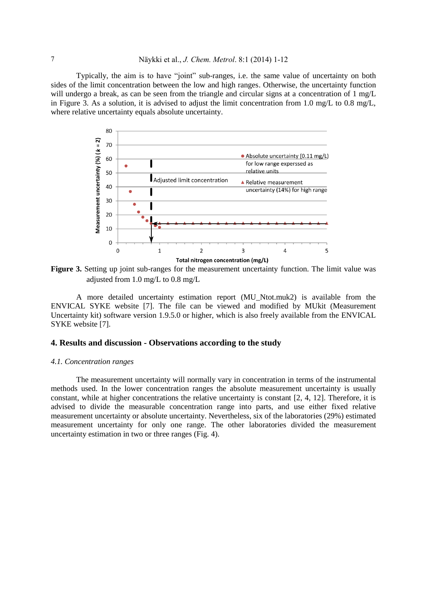Typically, the aim is to have "joint" sub-ranges, i.e. the same value of uncertainty on both sides of the limit concentration between the low and high ranges. Otherwise, the uncertainty function will undergo a break, as can be seen from the triangle and circular signs at a concentration of 1 mg/L in Figure 3. As a solution, it is advised to adjust the limit concentration from 1.0 mg/L to 0.8 mg/L, where relative uncertainty equals absolute uncertainty.



**Figure 3.** Setting up joint sub-ranges for the measurement uncertainty function. The limit value was adjusted from 1.0 mg/L to  $0.8$  mg/L

A more detailed uncertainty estimation report (MU\_Ntot.muk2) is available from the ENVICAL SYKE website [7]. The file can be viewed and modified by MUkit (Measurement Uncertainty kit) software version 1.9.5.0 or higher, which is also freely available from the ENVICAL SYKE website [7].

## **4. Results and discussion - Observations according to the study**

#### *4.1. Concentration ranges*

The measurement uncertainty will normally vary in concentration in terms of the instrumental methods used. In the lower concentration ranges the absolute measurement uncertainty is usually constant, while at higher concentrations the relative uncertainty is constant [2, 4, 12]. Therefore, it is advised to divide the measurable concentration range into parts, and use either fixed relative measurement uncertainty or absolute uncertainty. Nevertheless, six of the laboratories (29%) estimated measurement uncertainty for only one range. The other laboratories divided the measurement uncertainty estimation in two or three ranges (Fig. 4).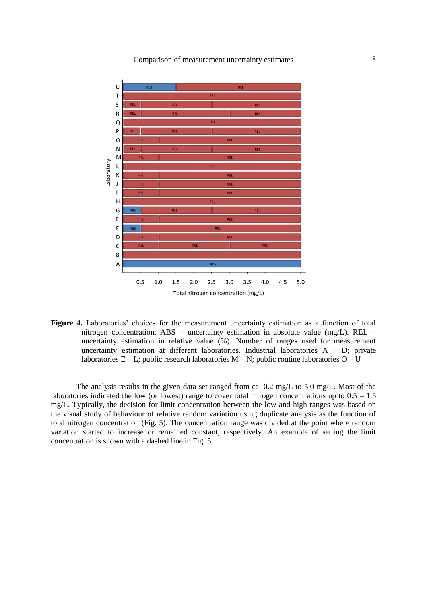

**Figure 4.** Laboratories' choices for the measurement uncertainty estimation as a function of total nitrogen concentration. ABS = uncertainty estimation in absolute value (mg/L). REL = uncertainty estimation in relative value (%). Number of ranges used for measurement uncertainty estimation at different laboratories. Industrial laboratories  $A - D$ ; private laboratories E – L; public research laboratories M – N; public routine laboratories  $O - U$ 

The analysis results in the given data set ranged from ca. 0.2 mg/L to 5.0 mg/L. Most of the laboratories indicated the low (or lowest) range to cover total nitrogen concentrations up to  $0.5 - 1.5$ mg/L. Typically, the decision for limit concentration between the low and high ranges was based on the visual study of behaviour of relative random variation using duplicate analysis as the function of total nitrogen concentration (Fig. 5). The concentration range was divided at the point where random variation started to increase or remained constant, respectively. An example of setting the limit concentration is shown with a dashed line in Fig. 5.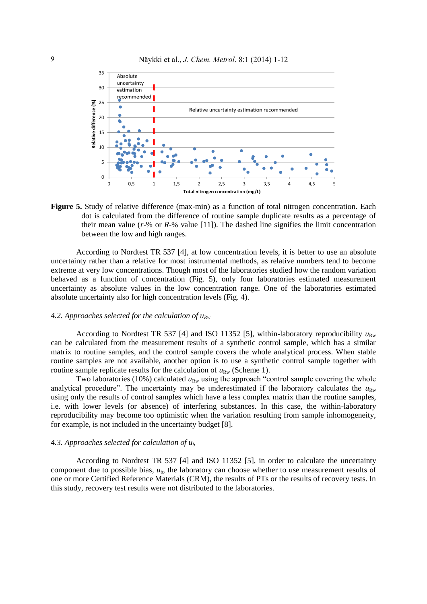

**Figure 5.** Study of relative difference (max-min) as a function of total nitrogen concentration. Each dot is calculated from the difference of routine sample duplicate results as a percentage of their mean value (*r*-% or *R*-% value [11]). The dashed line signifies the limit concentration between the low and high ranges.

According to Nordtest TR 537 [4], at low concentration levels, it is better to use an absolute uncertainty rather than a relative for most instrumental methods, as relative numbers tend to become extreme at very low concentrations. Though most of the laboratories studied how the random variation behaved as a function of concentration (Fig. 5), only four laboratories estimated measurement uncertainty as absolute values in the low concentration range. One of the laboratories estimated absolute uncertainty also for high concentration levels (Fig. 4).

#### *4.2. Approaches selected for the calculation of uRw*

According to Nordtest TR 537 [4] and ISO 11352 [5], within-laboratory reproducibility  $u_{\text{Rw}}$ can be calculated from the measurement results of a synthetic control sample, which has a similar matrix to routine samples, and the control sample covers the whole analytical process. When stable routine samples are not available, another option is to use a synthetic control sample together with routine sample replicate results for the calculation of  $u_{\text{Rw}}$  (Scheme 1).

Two laboratories (10%) calculated  $u_{\text{Rw}}$  using the approach "control sample covering the whole analytical procedure". The uncertainty may be underestimated if the laboratory calculates the  $u_{\text{Rw}}$ using only the results of control samples which have a less complex matrix than the routine samples, i.e. with lower levels (or absence) of interfering substances. In this case, the within-laboratory reproducibility may become too optimistic when the variation resulting from sample inhomogeneity, for example, is not included in the uncertainty budget [8].

#### *4.3. Approaches selected for calculation of u<sup>b</sup>*

According to Nordtest TR 537 [4] and ISO 11352 [5], in order to calculate the uncertainty component due to possible bias,  $u<sub>b</sub>$ , the laboratory can choose whether to use measurement results of one or more Certified Reference Materials (CRM), the results of PTs or the results of recovery tests. In this study, recovery test results were not distributed to the laboratories.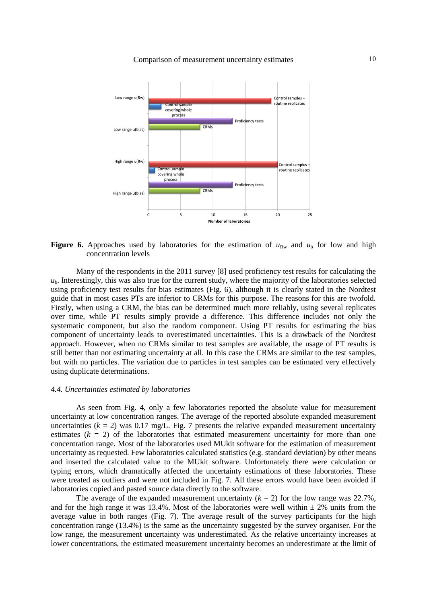Comparison of measurement uncertainty estimates 10



**Figure 6.** Approaches used by laboratories for the estimation of  $u_{\text{Rw}}$  and  $u_{\text{b}}$  for low and high concentration levels

Many of the respondents in the 2011 survey [8] used proficiency test results for calculating the  $u<sub>b</sub>$ . Interestingly, this was also true for the current study, where the majority of the laboratories selected using proficiency test results for bias estimates (Fig. 6), although it is clearly stated in the Nordtest guide that in most cases PTs are inferior to CRMs for this purpose. The reasons for this are twofold. Firstly, when using a CRM, the bias can be determined much more reliably, using several replicates over time, while PT results simply provide a difference. This difference includes not only the systematic component, but also the random component. Using PT results for estimating the bias component of uncertainty leads to overestimated uncertainties. This is a drawback of the Nordtest approach. However, when no CRMs similar to test samples are available, the usage of PT results is still better than not estimating uncertainty at all. In this case the CRMs are similar to the test samples, but with no particles. The variation due to particles in test samples can be estimated very effectively using duplicate determinations.

#### *4.4. Uncertainties estimated by laboratories*

As seen from Fig. 4, only a few laboratories reported the absolute value for measurement uncertainty at low concentration ranges. The average of the reported absolute expanded measurement uncertainties  $(k = 2)$  was 0.17 mg/L. Fig. 7 presents the relative expanded measurement uncertainty estimates  $(k = 2)$  of the laboratories that estimated measurement uncertainty for more than one concentration range. Most of the laboratories used MUkit software for the estimation of measurement uncertainty as requested. Few laboratories calculated statistics (e.g. standard deviation) by other means and inserted the calculated value to the MUkit software. Unfortunately there were calculation or typing errors, which dramatically affected the uncertainty estimations of these laboratories. These were treated as outliers and were not included in Fig. 7. All these errors would have been avoided if laboratories copied and pasted source data directly to the software.

The average of the expanded measurement uncertainty  $(k = 2)$  for the low range was 22.7%, and for the high range it was 13.4%. Most of the laboratories were well within  $\pm$  2% units from the average value in both ranges (Fig. 7). The average result of the survey participants for the high concentration range (13.4%) is the same as the uncertainty suggested by the survey organiser. For the low range, the measurement uncertainty was underestimated. As the relative uncertainty increases at lower concentrations, the estimated measurement uncertainty becomes an underestimate at the limit of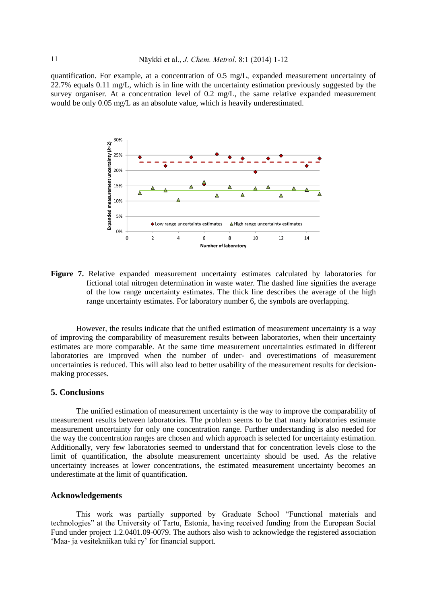quantification. For example, at a concentration of 0.5 mg/L, expanded measurement uncertainty of 22.7% equals 0.11 mg/L, which is in line with the uncertainty estimation previously suggested by the survey organiser. At a concentration level of 0.2 mg/L, the same relative expanded measurement would be only 0.05 mg/L as an absolute value, which is heavily underestimated.



**Figure 7.** Relative expanded measurement uncertainty estimates calculated by laboratories for fictional total nitrogen determination in waste water. The dashed line signifies the average of the low range uncertainty estimates. The thick line describes the average of the high range uncertainty estimates. For laboratory number 6, the symbols are overlapping.

However, the results indicate that the unified estimation of measurement uncertainty is a way of improving the comparability of measurement results between laboratories, when their uncertainty estimates are more comparable. At the same time measurement uncertainties estimated in different laboratories are improved when the number of under- and overestimations of measurement uncertainties is reduced. This will also lead to better usability of the measurement results for decisionmaking processes.

#### **5. Conclusions**

The unified estimation of measurement uncertainty is the way to improve the comparability of measurement results between laboratories. The problem seems to be that many laboratories estimate measurement uncertainty for only one concentration range. Further understanding is also needed for the way the concentration ranges are chosen and which approach is selected for uncertainty estimation. Additionally, very few laboratories seemed to understand that for concentration levels close to the limit of quantification, the absolute measurement uncertainty should be used. As the relative uncertainty increases at lower concentrations, the estimated measurement uncertainty becomes an underestimate at the limit of quantification.

#### **Acknowledgements**

This work was partially supported by Graduate School "Functional materials and technologies" at the University of Tartu, Estonia, having received funding from the European Social Fund under project 1.2.0401.09-0079. The authors also wish to acknowledge the registered association 'Maa- ja vesitekniikan tuki ry' for financial support.